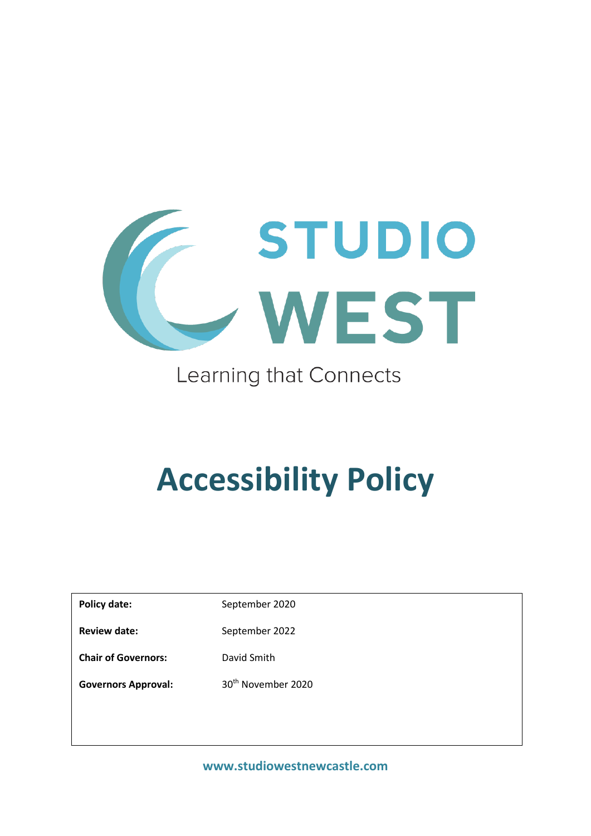

## Learning that Connects

# **Accessibility Policy**

Policy date: September 2020 Review date: September 2022 **Chair of Governors:** David Smith Governors Approval: 30<sup>th</sup> November 2020

**www.studiowestnewcastle.com**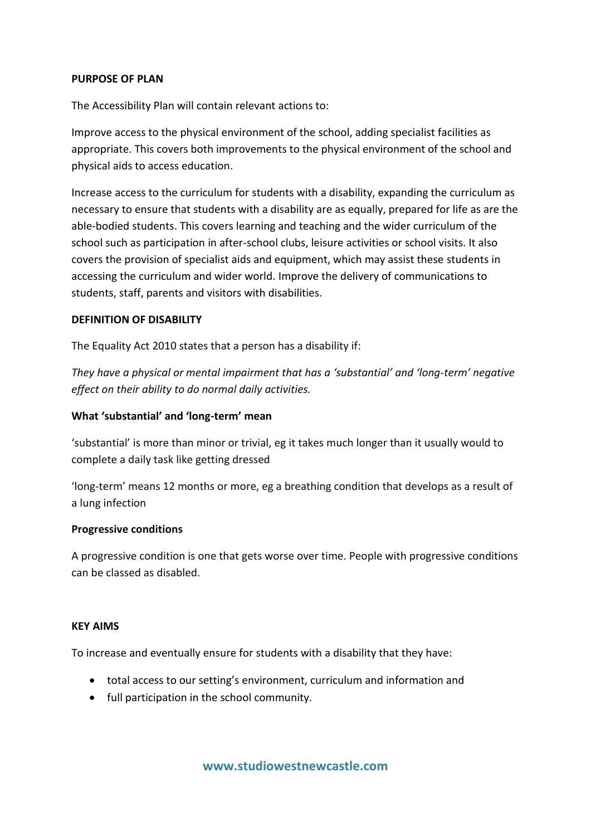#### **PURPOSE OF PLAN**

The Accessibility Plan will contain relevant actions to:

Improve access to the physical environment of the school, adding specialist facilities as appropriate. This covers both improvements to the physical environment of the school and physical aids to access education.

Increase access to the curriculum for students with a disability, expanding the curriculum as necessary to ensure that students with a disability are as equally, prepared for life as are the able-bodied students. This covers learning and teaching and the wider curriculum of the school such as participation in after-school clubs, leisure activities or school visits. It also covers the provision of specialist aids and equipment, which may assist these students in accessing the curriculum and wider world. Improve the delivery of communications to students, staff, parents and visitors with disabilities.

#### **DEFINITION OF DISABILITY**

The Equality Act 2010 states that a person has a disability if:

*They have a physical or mental impairment that has a 'substantial' and 'long-term' negative effect on their ability to do normal daily activities.*

#### **What 'substantial' and 'long-term' mean**

'substantial' is more than minor or trivial, eg it takes much longer than it usually would to complete a daily task like getting dressed

'long-term' means 12 months or more, eg a breathing condition that develops as a result of a lung infection

#### **Progressive conditions**

A progressive condition is one that gets worse over time. People with progressive conditions can be classed as disabled.

#### **KEY AIMS**

To increase and eventually ensure for students with a disability that they have:

- total access to our setting's environment, curriculum and information and
- full participation in the school community.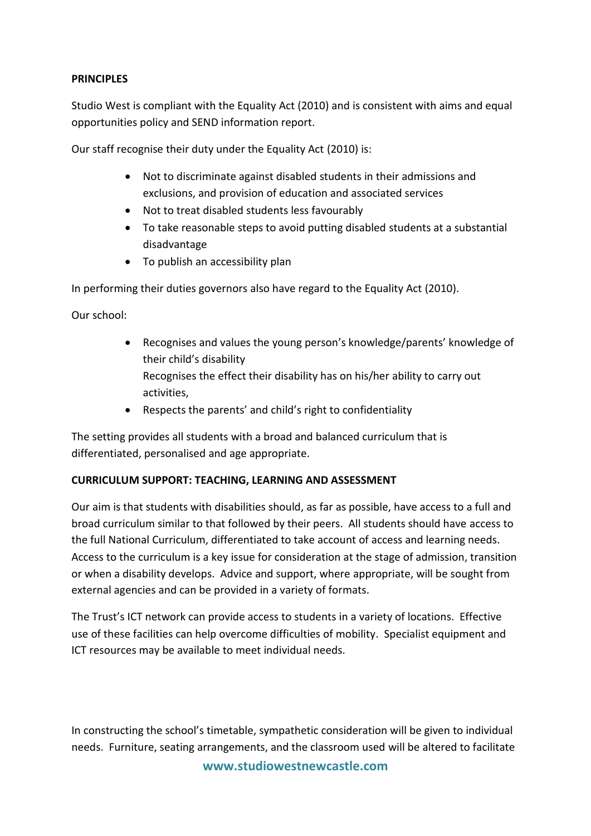#### **PRINCIPLES**

Studio West is compliant with the Equality Act (2010) and is consistent with aims and equal opportunities policy and SEND information report.

Our staff recognise their duty under the Equality Act (2010) is:

- Not to discriminate against disabled students in their admissions and exclusions, and provision of education and associated services
- Not to treat disabled students less favourably
- To take reasonable steps to avoid putting disabled students at a substantial disadvantage
- To publish an accessibility plan

In performing their duties governors also have regard to the Equality Act (2010).

Our school:

- Recognises and values the young person's knowledge/parents' knowledge of their child's disability Recognises the effect their disability has on his/her ability to carry out activities,
- Respects the parents' and child's right to confidentiality

The setting provides all students with a broad and balanced curriculum that is differentiated, personalised and age appropriate.

#### **CURRICULUM SUPPORT: TEACHING, LEARNING AND ASSESSMENT**

Our aim is that students with disabilities should, as far as possible, have access to a full and broad curriculum similar to that followed by their peers. All students should have access to the full National Curriculum, differentiated to take account of access and learning needs. Access to the curriculum is a key issue for consideration at the stage of admission, transition or when a disability develops. Advice and support, where appropriate, will be sought from external agencies and can be provided in a variety of formats.

The Trust's ICT network can provide access to students in a variety of locations. Effective use of these facilities can help overcome difficulties of mobility. Specialist equipment and ICT resources may be available to meet individual needs.

**www.studiowestnewcastle.com** In constructing the school's timetable, sympathetic consideration will be given to individual needs. Furniture, seating arrangements, and the classroom used will be altered to facilitate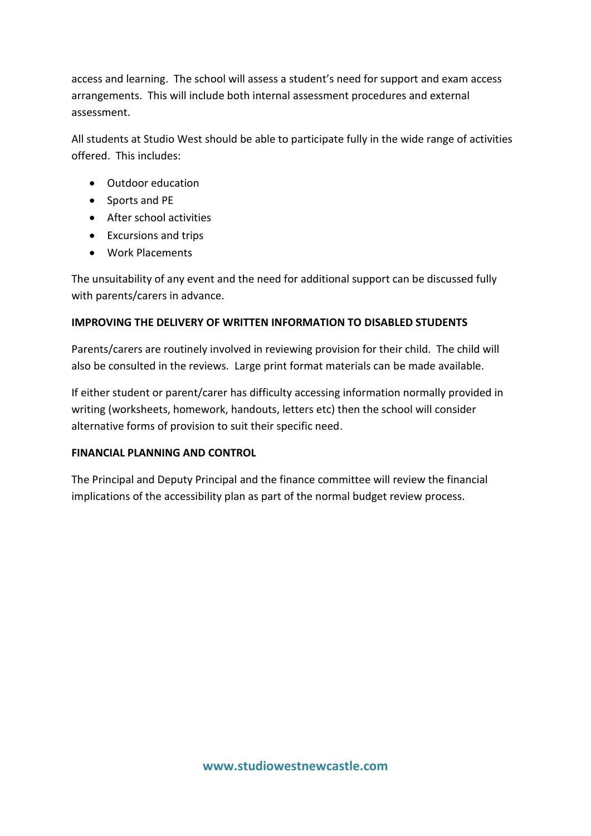access and learning. The school will assess a student's need for support and exam access arrangements. This will include both internal assessment procedures and external assessment.

All students at Studio West should be able to participate fully in the wide range of activities offered. This includes:

- Outdoor education
- Sports and PE
- After school activities
- Excursions and trips
- Work Placements

The unsuitability of any event and the need for additional support can be discussed fully with parents/carers in advance.

#### **IMPROVING THE DELIVERY OF WRITTEN INFORMATION TO DISABLED STUDENTS**

Parents/carers are routinely involved in reviewing provision for their child. The child will also be consulted in the reviews. Large print format materials can be made available.

If either student or parent/carer has difficulty accessing information normally provided in writing (worksheets, homework, handouts, letters etc) then the school will consider alternative forms of provision to suit their specific need.

#### **FINANCIAL PLANNING AND CONTROL**

The Principal and Deputy Principal and the finance committee will review the financial implications of the accessibility plan as part of the normal budget review process.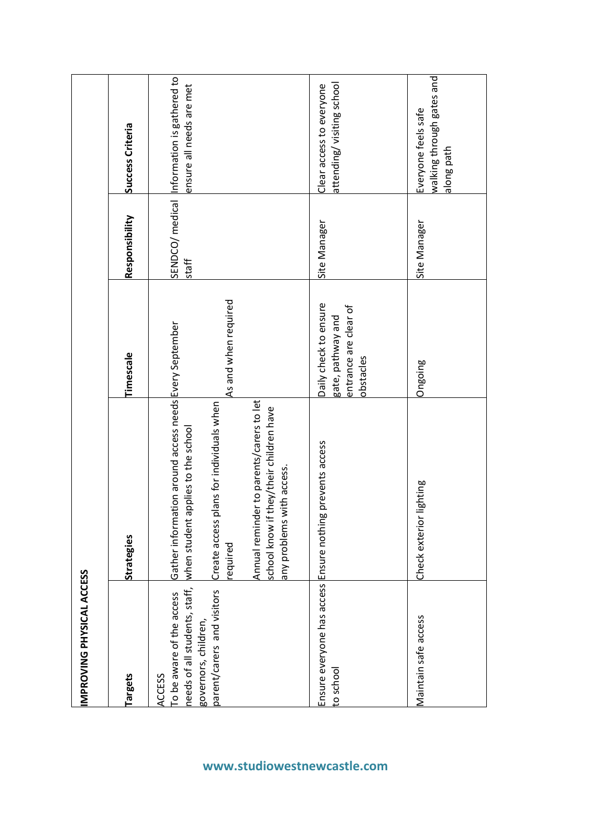| IMPROVING PHYSICAL ACCESS                                                   |                                                                                                                     |                                                                                  |                |                                                                       |
|-----------------------------------------------------------------------------|---------------------------------------------------------------------------------------------------------------------|----------------------------------------------------------------------------------|----------------|-----------------------------------------------------------------------|
| <b>Targets</b>                                                              | Strategies                                                                                                          | Timescale                                                                        | Responsibility | Success Criteria                                                      |
| needs of all students, staff,<br>To be aware of the access<br><b>ACCESS</b> | Gather information around access needs Every September<br>applies to the school<br>when student                     |                                                                                  | staff          | SENDCO/medical Information is gathered to<br>ensure all needs are met |
| parent/carers and visitors<br>governors, children,                          | plans for individuals when<br>Create access<br>equired                                                              | As and when required                                                             |                |                                                                       |
|                                                                             | Annual reminder to parents/carers to let<br>if they/their children have<br>any problems with access.<br>school know |                                                                                  |                |                                                                       |
| Ensure everyone has access Ensure nothin<br>to school                       | ig prevents access                                                                                                  | Daily check to ensure<br>entrance are clear of<br>gate, pathway and<br>obstacles | Site Manager   | attending/visiting school<br>Clear access to everyone                 |
| Maintain safe access                                                        | Check exterior lighting                                                                                             | Ongoing                                                                          | Site Manager   | walking through gates and<br>Everyone feels safe<br>along path        |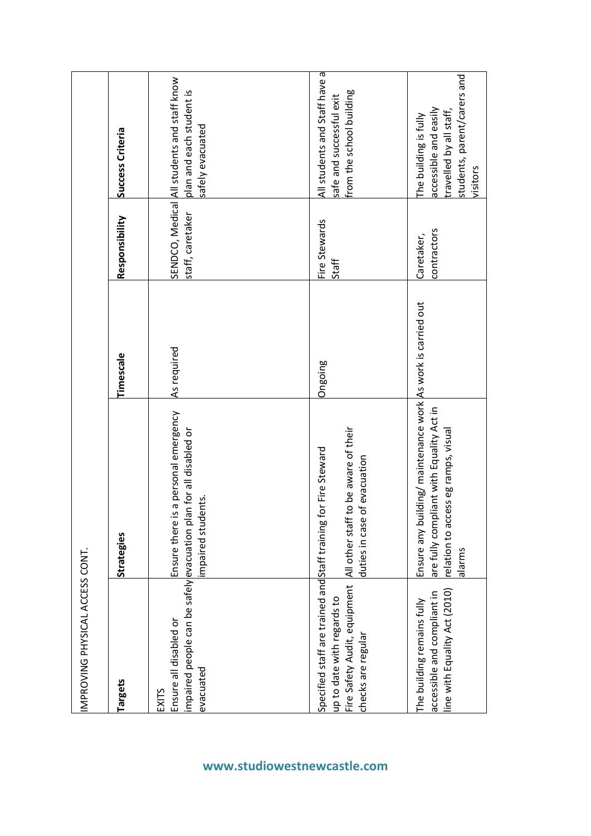| IMPROVING PHYSICAL ACCESS CONT.                                                                  |                                                                                                                                                           |             |                           |                                                                                                                      |
|--------------------------------------------------------------------------------------------------|-----------------------------------------------------------------------------------------------------------------------------------------------------------|-------------|---------------------------|----------------------------------------------------------------------------------------------------------------------|
| <b>Targets</b>                                                                                   | Strategies                                                                                                                                                | Timescale   | Responsibility            | Success Criteria                                                                                                     |
| Ensure all disabled or<br>evacuated<br><b>EXITS</b>                                              | is a personal emergency<br>impaired people can be safely evacuation plan for all disabled or<br>mpaired students.<br>Ensure there                         | As required | staff, caretaker          | SENDCO, Medical All students and staff know<br>plan and each student is<br>safely evacuated                          |
| Fire Safety Audit, equipment All other staff<br>up to date with regards to<br>checks are regular | to be aware of their<br>Specified staff are trained and Staff training for Fire Steward<br>of evacuation<br>duties in case                                | Ongoing     | Fire Stewards<br>Staff    | All students and Staff have a<br>from the school building<br>safe and successful exit                                |
| line with Equality Act (2010)<br>accessible and compliant in<br>The building remains fully       | Ensure any building/ maintenance work As work is carried out<br>are fully compliant with Equality Act in<br>relation to access eg ramps, visual<br>alarms |             | contractors<br>Caretaker, | students, parent/carers and<br>accessible and easily<br>travelled by all staff,<br>The building is fully<br>visitors |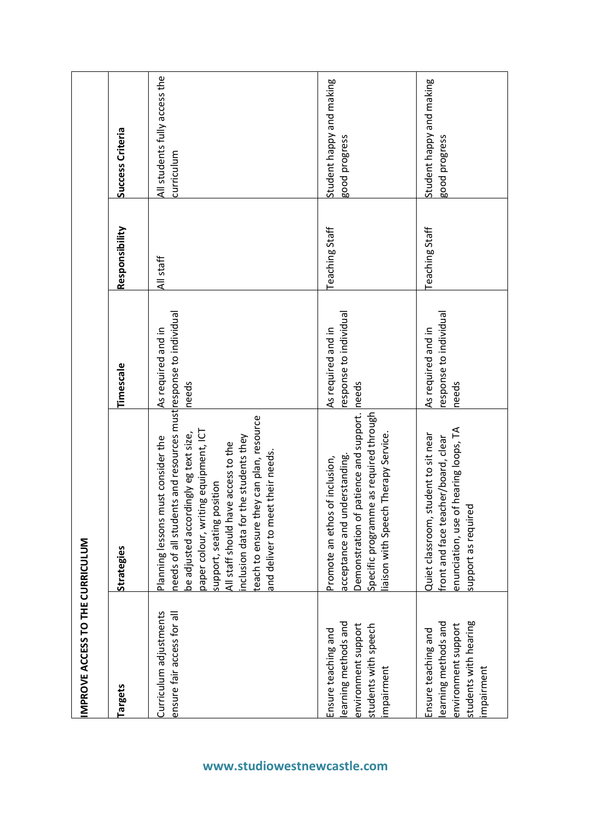|                                  | Success Criteria | All students fully access the<br>curriculum                                                                                                                                                                                                                                                                                                                                                            | Student happy and making<br>good progress                                                                                                                                                     | Student happy and making<br>good progress                                                                                                       |
|----------------------------------|------------------|--------------------------------------------------------------------------------------------------------------------------------------------------------------------------------------------------------------------------------------------------------------------------------------------------------------------------------------------------------------------------------------------------------|-----------------------------------------------------------------------------------------------------------------------------------------------------------------------------------------------|-------------------------------------------------------------------------------------------------------------------------------------------------|
|                                  | Responsibility   | All staff                                                                                                                                                                                                                                                                                                                                                                                              | Teaching Staff                                                                                                                                                                                | <b>Teaching Staff</b>                                                                                                                           |
|                                  | Timescale        | As required and in<br>needs                                                                                                                                                                                                                                                                                                                                                                            | esponse to individual<br>As required and in<br>needs                                                                                                                                          | esponse to individual<br>As required and in<br>needs                                                                                            |
|                                  | Strategies       | lents and resources must response to individual<br>reach to ensure they can plan, resource<br>riting equipment, ICT<br>be adjusted accordingly eg text size,<br>nclusion data for the students they<br>Planning lessons must consider the<br>have access to the<br>and deliver to meet their needs.<br>support, seating position<br>needs of all stud<br>paper colour, wi<br>All staff should <b>I</b> | Demonstration of patience and support.<br>specific programme as required through<br>iaison with Speech Therapy Service.<br>understanding.<br>Promote an ethos of inclusion,<br>acceptance and | enunciation, use of hearing loops, TA<br>Quiet classroom, student to sit near<br>iront and face teacher/board, clear<br>Ted<br>support as requi |
| IMPROVE ACCESS TO THE CURRICULUM | Targets          | Curriculum adjustments<br>ensure fair access for all                                                                                                                                                                                                                                                                                                                                                   | earning methods and<br>environment support<br>students with speech<br>Ensure teaching and<br>mpairment                                                                                        | students with hearing<br>learning methods and<br>environment support<br>Ensure teaching and<br>mpairment                                        |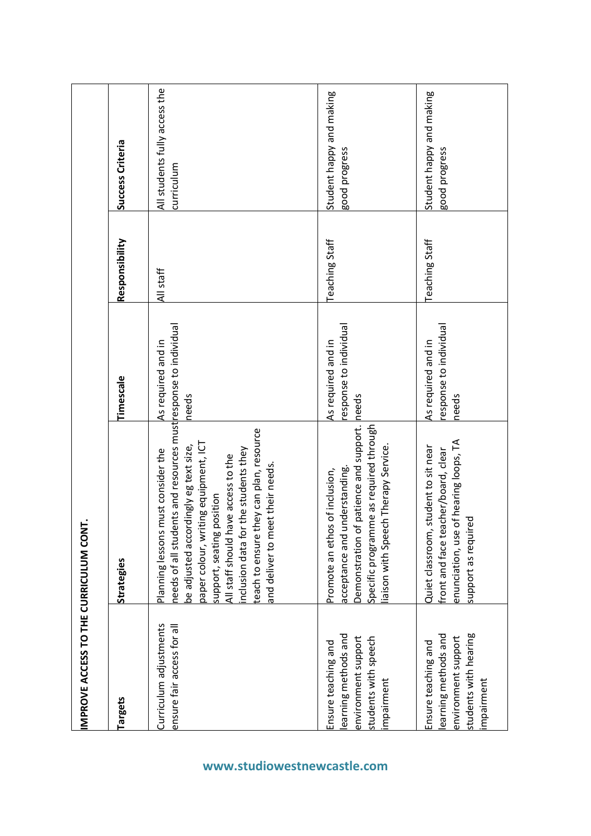| IMPROVE ACCESS TO THE CURRICULUM CONT.                                                                   |                                                                                                                                                                                                                                                                                                                                                                                         |                                                       |                |                                             |
|----------------------------------------------------------------------------------------------------------|-----------------------------------------------------------------------------------------------------------------------------------------------------------------------------------------------------------------------------------------------------------------------------------------------------------------------------------------------------------------------------------------|-------------------------------------------------------|----------------|---------------------------------------------|
| Targets                                                                                                  | Strategies                                                                                                                                                                                                                                                                                                                                                                              | Timescale                                             | Responsibility | <b>Success Criteria</b>                     |
| Curriculum adjustments<br>ensure fair access for all                                                     | needs of all students and resources must response to individual<br>teach to ensure they can plan, resource<br>paper colour, writing equipment, ICT<br>be adjusted accordingly eg text size,<br>inclusion data for the students they<br>must consider the<br>All staff should have access to the<br>and deliver to meet their needs.<br>position<br>Planning lessons<br>support, seating | As required and in<br>needs                           | All staff      | All students fully access the<br>curriculum |
| earning methods and<br>environment support<br>students with speech<br>Ensure teaching and<br>impairment  | Demonstration of patience and support.<br>Specific programme as required through<br>iaison with Speech Therapy Service.<br>understanding.<br>Promote an ethos of inclusion,<br>acceptance and                                                                                                                                                                                           | response to individual<br>As required and in<br>needs | Teaching Staff | Student happy and making<br>good progress   |
| students with hearing<br>earning methods and<br>environment support<br>Ensure teaching and<br>impairment | enunciation, use of hearing loops, TA<br>Quiet classroom, student to sit near<br>acher/board, clear<br>support as required<br>front and face te                                                                                                                                                                                                                                         | esponse to individual<br>As required and in<br>needs  | Teaching Staff | Student happy and making<br>good progress   |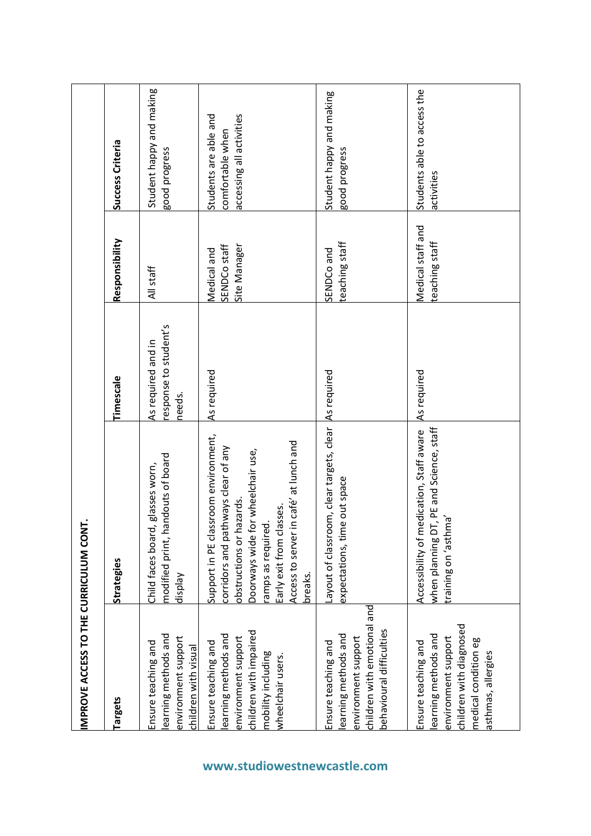| IMPROVE ACCESS TO THE CURRICULUM CONT.                                                                                                     |                                                                                                                                                                                                                                                          |                                                       |                                             |                                                                       |
|--------------------------------------------------------------------------------------------------------------------------------------------|----------------------------------------------------------------------------------------------------------------------------------------------------------------------------------------------------------------------------------------------------------|-------------------------------------------------------|---------------------------------------------|-----------------------------------------------------------------------|
| <b>Targets</b>                                                                                                                             | Strategies                                                                                                                                                                                                                                               | Timescale                                             | Responsibility                              | <b>Success Criteria</b>                                               |
| earning methods and<br>environment support<br>Ensure teaching and<br>children with visual                                                  | andouts of board<br>Child faces board, glasses worn,<br>modified print, h<br>Veldsip                                                                                                                                                                     | response to student's<br>As required and in<br>needs. | All staff                                   | Student happy and making<br>good progress                             |
| children with impaired<br>earning methods and<br>environment support<br>Ensure teaching and<br>mobility including<br>wheelchair users.     | Support in PE classroom environment,<br>in café' at lunch and<br>corridors and pathways clear of any<br>or wheelchair use,<br>obstructions or hazards<br>Early exit from classes.<br>amps as required.<br>Doorways wide f<br>Access to server<br>breaks. | As required                                           | Site Manager<br>SENDCo staff<br>Medical and | accessing all activities<br>Students are able and<br>comfortable when |
| children with emotional and<br>behavioural difficulties<br>earning methods and<br>environment support<br>Ensure teaching and               | Layout of classroom, clear targets, clear<br>expectations, time out space                                                                                                                                                                                | As required                                           | teaching staff<br>SENDCo and                | Student happy and making<br>good progress                             |
| children with diagnosed<br>earning methods and<br>environment support<br>medical condition eg<br>Ensure teaching and<br>asthmas, allergies | IT, PE and Science, staff<br>Accessibility of medication, Staff aware<br>'asthmas' no gninisha<br>when planning D                                                                                                                                        | As required                                           | Medical staff and<br>teaching staff         | Students able to access the<br>activities                             |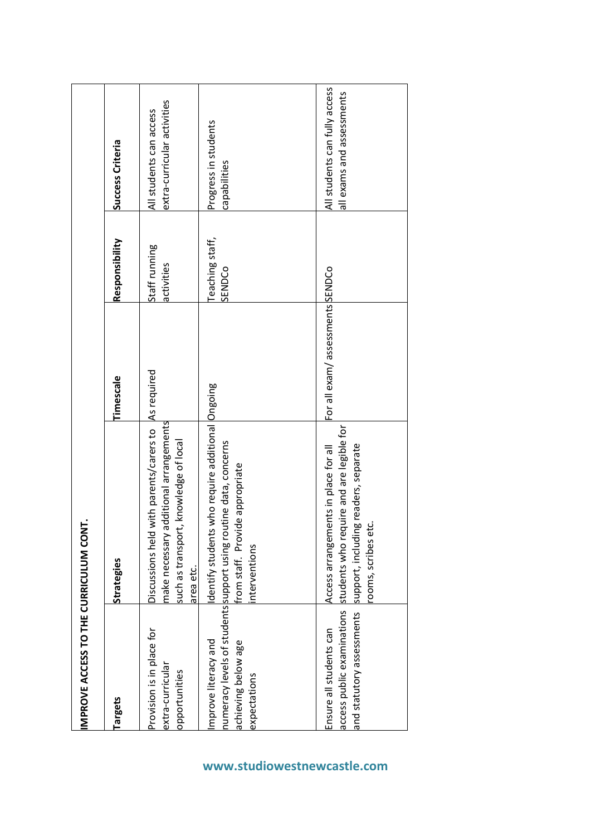| IMPROVE ACCESS TO THE CURRICULUM CON                           |                                                                                                                                                                            |                                 |                             |                                                            |
|----------------------------------------------------------------|----------------------------------------------------------------------------------------------------------------------------------------------------------------------------|---------------------------------|-----------------------------|------------------------------------------------------------|
| <b>Targets</b>                                                 | Strategies                                                                                                                                                                 | Timescale                       | Responsibility              | Success Criteria                                           |
| Provision is in place for<br>extra-curricular<br>opportunities | with parents/carers to As required<br>make necessary additional arrangements<br>such as transport, knowledge of local<br>Discussions held<br>area etc.                     |                                 | Staff running<br>activities | extra-curricular activities<br>All students can access     |
| Improve literacy and<br>achieving below age<br>expectations    | who require additional Ongoing<br>numeracy levels of students support using routine data, concerns<br>from staff. Provide appropriate<br>dentify students<br>interventions |                                 | Teaching staff,<br>SENDCo   | Progress in students<br>capabilities                       |
| and statutory assessments<br>Ensure all students can           | access public examinations students who require and are legible for<br>support, including readers, separate<br>Access arrangements in place for all<br>rooms, scribes etc. | For all exam/assessments SENDCo |                             | All students can fully access<br>all exams and assessments |

### **www.studiowestnewcastle.com**